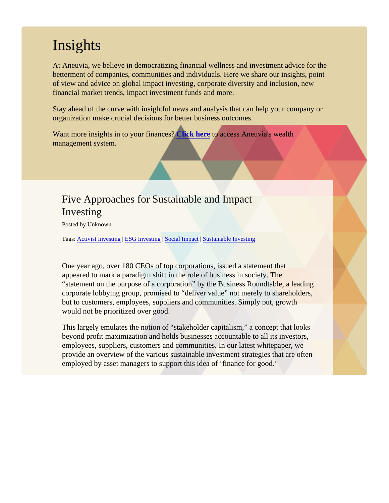## **Insights**

At Aneuvia, we believe in democratizing financial wellness and investment advice for the betterment of companies, communities and individuals. Here we share our insights, point of view and advice on global impact investing, corporate diversity and inclusion, new financial market trends, impact investment funds and more.

Stay ahead of the curve with insightful news and analysis that can help your company or organization make crucial decisions for better business outcomes.

Want more insights in to your finance SPCk here to access Aneuvia's wealth management system.

### Five Approaches for Sustainable and Impact Investing

Posted by Unknown

Tags[: Activist Investing](/Blog/uhrc&CategoryId=ukv9) | [ESG Investing](/Blog/uhrc&CategoryId=ukv2) SocialImpact [Sustainable Investin](/Blog/uhrc&CategoryId=ukv5)g

One year ago, over 180 CEOs of top corporations, issued a statement that appeared to mark a paradigm shift in the role of business in society. The "statement on the purpose of a corporation" by the Business Roundtable, a leadi corporate lobbying group, promised to "deliver value" not merely to shareholders but to customers, employees, suppliers and communities. Simply put, growth would not be prioritized over good.

This largely emulates the notion of "stakeholder capitalism," a concept that looks beyond profit maximization and holds businesses accountable to all its investors, employees, suppliers, customers and communities. In our latest whitepaper, we provide an overview of the various sustainable investment strategies that are ofteremployed by asset managers to support this idea of 'finance for good.'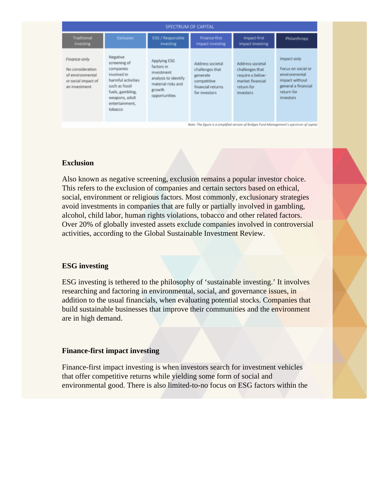| SPECTRUM OF CAPITAL                                                                          |                                                                                                                                                                 |                                                                                                                   |                                                                                                      |                                                                                                        |                                                                                                                        |  |
|----------------------------------------------------------------------------------------------|-----------------------------------------------------------------------------------------------------------------------------------------------------------------|-------------------------------------------------------------------------------------------------------------------|------------------------------------------------------------------------------------------------------|--------------------------------------------------------------------------------------------------------|------------------------------------------------------------------------------------------------------------------------|--|
| Traditional<br>investing                                                                     | Exclusion                                                                                                                                                       | ESG / Responsible<br>investing                                                                                    | Finance-first<br><b>Impact investing</b>                                                             | Impact-first<br>Impact investing                                                                       | Philanthropy                                                                                                           |  |
| Finance-only<br>No consideration<br>of environmental<br>or social impact of<br>an investment | Negative<br>screening of<br>companies<br>involved in<br>harmful activities<br>such as fossil<br>fuels, gambling,<br>weapons, adult<br>entertainment.<br>tobacco | Applying ESG<br>factors in<br>investment<br>analysis to identify<br>material risks and<br>growth<br>opportunities | Address societal<br>challenges that<br>generate<br>competitive<br>financial returns<br>for investors | Address societal<br>challenges that<br>require a below-<br>market financial<br>return for<br>investors | Impact-only<br>Focus on social or<br>environmental<br>impact without<br>general a financial<br>return for<br>investors |  |
| Note: The figure is a simplified version of Bridges Fund Management's spectrum of capita     |                                                                                                                                                                 |                                                                                                                   |                                                                                                      |                                                                                                        |                                                                                                                        |  |

#### **Exclusion**

Also known as negative screening, exclusion remains a popular investor choice. This refers to the exclusion of companies and certain sectors based on ethical, social, environment or religious factors. Most commonly, exclusionary strategies avoid investments in companies that are fully or partially involved in gambling, alcohol, child labor, human rights violations, tobacco and other related factors. Over 20% of globally invested assets exclude companies involved in controversial activities, according to the Global Sustainable Investment Review.

#### **ESG investing**

ESG investing is tethered to the philosophy of 'sustainable investing.' It involves researching and factoring in environmental, social, and governance issues, in addition to the usual financials, when evaluating potential stocks. Companies that build sustainable businesses that improve their communities and the environment are in high demand.

#### **Finance-first impact investing**

Finance-first impact investing is when investors search for investment vehicles that offer competitive returns while yielding some form of social and environmental good. There is also limited-to-no focus on ESG factors within the

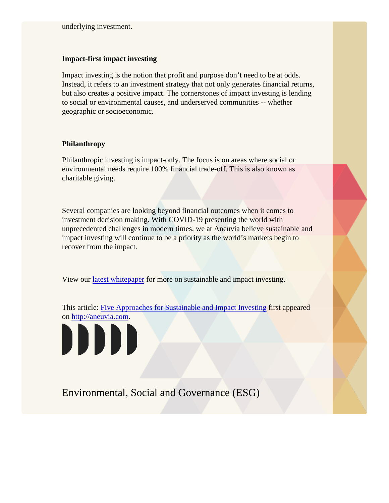#### Impact-first impact investing

Impact investing is the notion that profit and purpose don't need to be at odds. Instead, it refers to an investment strategy that not only generates financial return but also creates a positive impact. The cornerstones of impact investing is lendin to social or environmental causes, and underserved communities -- whether geographic or socioeconomic.

#### Philanthropy

Philanthropic investing is impact-only. The focus is on areas where social or environmental needs require 100% financial trade-off. This is also known as charitable giving.

Several companies are looking beyond financial outcomes when it comes to investment decision making. With COVID-19 presenting the world with unprecedented challenges in modern times, we at Aneuvia believe sustainable a impact investing will continue to be a priority as the world's markets begin to recover from the impact.

View our [latest whitepape](https://share.hsforms.com/17y8vS-yJRT6DEwc8YhLWSw3zjaq) for more on sustainable and impact investing.

This article[: Five Approaches for Sustainable and Impact Inve](/Blogpost/ukve/Five-Approaches-for-Sustainable-and-Impact-Investing)stinationpeared on<http://aneuvia.com>.



## Environmental, Social and Governance (ESG)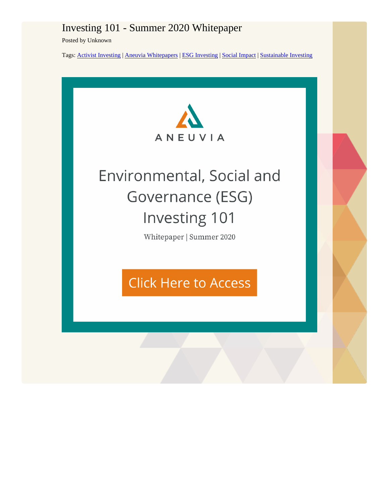## Investing 101 - Summer 2020 Whitepaper

Posted by Unknown

Tags: Activist Investing| Aneuvia WhitepaperbESG Investing Social Impact Sustainable Investing